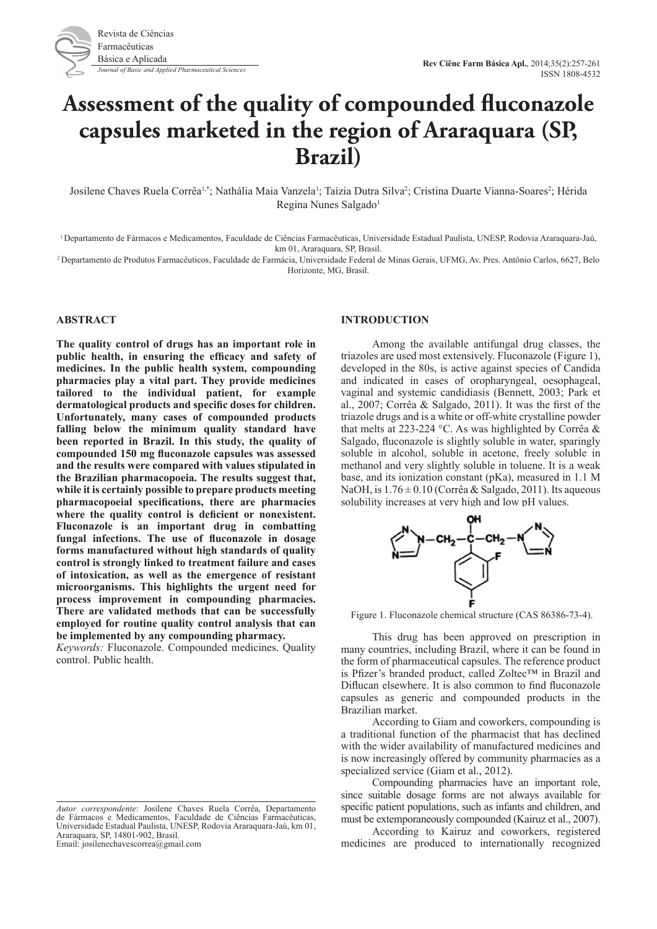

# **Assessment of the quality of compounded fluconazole capsules marketed in the region of Araraquara (SP, Brazil)**

Josilene Chaves Ruela Corrêa<sup>1,\*</sup>; Nathália Maia Vanzela<sup>1</sup>; Taízia Dutra Silva<sup>2</sup>; Cristina Duarte Vianna-Soares<sup>2</sup>; Hérida Regina Nunes Salgado<sup>1</sup>

1 Departamento de Fármacos e Medicamentos, Faculdade de Ciências Farmacêuticas, Universidade Estadual Paulista, UNESP, Rodovia Araraquara-Jaú, km 01, Araraquara, SP, Brasil.

2 Departamento de Produtos Farmacêuticos, Faculdade de Farmácia, Universidade Federal de Minas Gerais, UFMG, Av. Pres. Antônio Carlos, 6627, Belo Horizonte, MG, Brasil.

# **ABSTRACT**

**The quality control of drugs has an important role in public health, in ensuring the efficacy and safety of medicines. In the public health system, compounding pharmacies play a vital part. They provide medicines tailored to the individual patient, for example dermatological products and specific doses for children. Unfortunately, many cases of compounded products falling below the minimum quality standard have been reported in Brazil. In this study, the quality of compounded 150 mg fluconazole capsules was assessed and the results were compared with values stipulated in the Brazilian pharmacopoeia. The results suggest that, while it is certainly possible to prepare products meeting pharmacopoeial specifications, there are pharmacies where the quality control is deficient or nonexistent. Fluconazole is an important drug in combatting fungal infections. The use of fluconazole in dosage forms manufactured without high standards of quality control is strongly linked to treatment failure and cases of intoxication, as well as the emergence of resistant microorganisms. This highlights the urgent need for process improvement in compounding pharmacies. There are validated methods that can be successfully employed for routine quality control analysis that can be implemented by any compounding pharmacy.**

*Keywords:* Fluconazole. Compounded medicines. Quality control. Public health.

# **INTRODUCTION**

Among the available antifungal drug classes, the triazoles are used most extensively. Fluconazole (Figure 1), developed in the 80s, is active against species of Candida and indicated in cases of oropharyngeal, oesophageal, vaginal and systemic candidiasis (Bennett, 2003; Park et al., 2007; Corrêa & Salgado, 2011). It was the first of the triazole drugs and is a white or off-white crystalline powder that melts at 223-224 °C. As was highlighted by Corrêa  $\&$ Salgado, fluconazole is slightly soluble in water, sparingly soluble in alcohol, soluble in acetone, freely soluble in methanol and very slightly soluble in toluene. It is a weak base, and its ionization constant (pKa), measured in 1.1 M NaOH, is  $1.76 \pm 0.10$  (Corrêa & Salgado, 2011). Its aqueous solubility increases at very high and low pH values.



Figure 1. Fluconazole chemical structure (CAS 86386-73-4).

This drug has been approved on prescription in many countries, including Brazil, where it can be found in the form of pharmaceutical capsules. The reference product is Pfizer's branded product, called Zoltec™ in Brazil and Diflucan elsewhere. It is also common to find fluconazole capsules as generic and compounded products in the Brazilian market.

According to Giam and coworkers, compounding is a traditional function of the pharmacist that has declined with the wider availability of manufactured medicines and is now increasingly offered by community pharmacies as a specialized service (Giam et al., 2012).

Compounding pharmacies have an important role, since suitable dosage forms are not always available for specific patient populations, such as infants and children, and must be extemporaneously compounded (Kairuz et al., 2007).

According to Kairuz and coworkers, registered medicines are produced to internationally recognized

*Autor correspondente*: Josilene Chaves Ruela Corrêa, Departamento de Fármacos e Medicamentos, Faculdade de Ciências Farmacêuticas, Universidade Estadual Paulista, UNESP, Rodovia Araraquara-Jaú, km 01, Araraquara, SP, 14801-902, Brasil. Email: josilenechavescorrea@gmail.com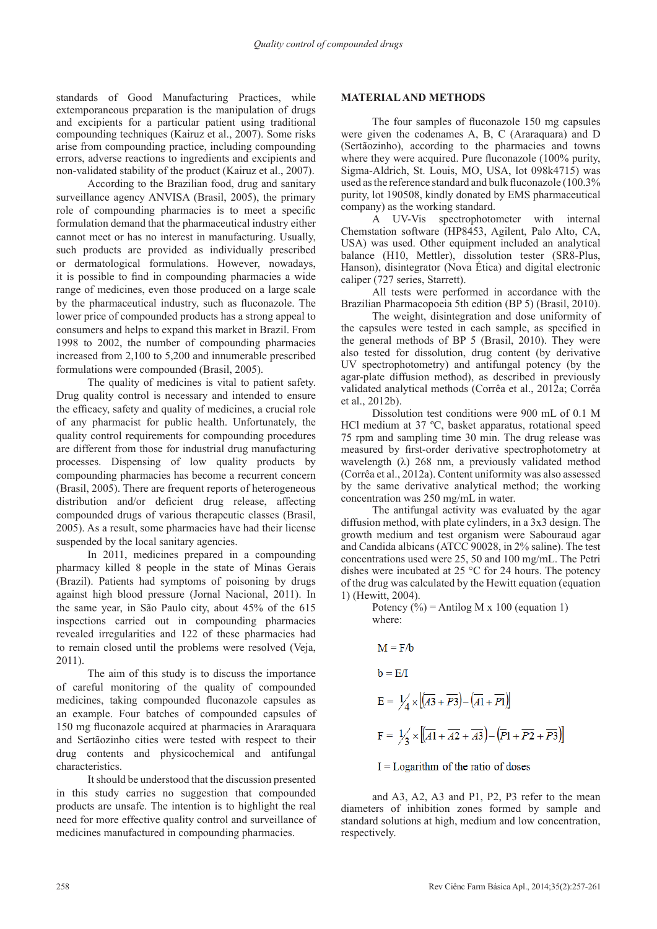standards of Good Manufacturing Practices, while extemporaneous preparation is the manipulation of drugs and excipients for a particular patient using traditional compounding techniques (Kairuz et al., 2007). Some risks arise from compounding practice, including compounding errors, adverse reactions to ingredients and excipients and non-validated stability of the product (Kairuz et al., 2007).

According to the Brazilian food, drug and sanitary surveillance agency ANVISA (Brasil, 2005), the primary role of compounding pharmacies is to meet a specific formulation demand that the pharmaceutical industry either cannot meet or has no interest in manufacturing. Usually, such products are provided as individually prescribed or dermatological formulations. However, nowadays, it is possible to find in compounding pharmacies a wide range of medicines, even those produced on a large scale by the pharmaceutical industry, such as fluconazole. The lower price of compounded products has a strong appeal to consumers and helps to expand this market in Brazil. From 1998 to 2002, the number of compounding pharmacies increased from 2,100 to 5,200 and innumerable prescribed formulations were compounded (Brasil, 2005).

The quality of medicines is vital to patient safety. Drug quality control is necessary and intended to ensure the efficacy, safety and quality of medicines, a crucial role of any pharmacist for public health. Unfortunately, the quality control requirements for compounding procedures are different from those for industrial drug manufacturing processes. Dispensing of low quality products by compounding pharmacies has become a recurrent concern (Brasil, 2005). There are frequent reports of heterogeneous distribution and/or deficient drug release, affecting compounded drugs of various therapeutic classes (Brasil, 2005). As a result, some pharmacies have had their license suspended by the local sanitary agencies.

In 2011, medicines prepared in a compounding pharmacy killed 8 people in the state of Minas Gerais (Brazil). Patients had symptoms of poisoning by drugs against high blood pressure (Jornal Nacional, 2011). In the same year, in São Paulo city, about 45% of the 615 inspections carried out in compounding pharmacies revealed irregularities and 122 of these pharmacies had to remain closed until the problems were resolved (Veja, 2011).

The aim of this study is to discuss the importance of careful monitoring of the quality of compounded medicines, taking compounded fluconazole capsules as an example. Four batches of compounded capsules of 150 mg fluconazole acquired at pharmacies in Araraquara and Sertãozinho cities were tested with respect to their drug contents and physicochemical and antifungal characteristics.

It should be understood that the discussion presented in this study carries no suggestion that compounded products are unsafe. The intention is to highlight the real need for more effective quality control and surveillance of medicines manufactured in compounding pharmacies.

## **MATERIAL AND METHODS**

The four samples of fluconazole 150 mg capsules were given the codenames A, B, C (Araraquara) and D (Sertãozinho), according to the pharmacies and towns where they were acquired. Pure fluconazole (100% purity, Sigma-Aldrich, St. Louis, MO, USA, lot 098k4715) was used as the reference standard and bulk fluconazole (100.3% purity, lot 190508, kindly donated by EMS pharmaceutical company) as the working standard.

A UV-Vis spectrophotometer with internal Chemstation software (HP8453, Agilent, Palo Alto, CA, USA) was used. Other equipment included an analytical balance (H10, Mettler), dissolution tester (SR8-Plus, Hanson), disintegrator (Nova Ética) and digital electronic caliper (727 series, Starrett).

All tests were performed in accordance with the Brazilian Pharmacopoeia 5th edition (BP 5) (Brasil, 2010).

The weight, disintegration and dose uniformity of the capsules were tested in each sample, as specified in the general methods of BP 5 (Brasil, 2010). They were also tested for dissolution, drug content (by derivative UV spectrophotometry) and antifungal potency (by the agar-plate diffusion method), as described in previously validated analytical methods (Corrêa et al., 2012a; Corrêa et al., 2012b).

Dissolution test conditions were 900 mL of 0.1 M HCl medium at 37 ºC, basket apparatus, rotational speed 75 rpm and sampling time 30 min. The drug release was measured by first-order derivative spectrophotometry at wavelength  $(\lambda)$  268 nm, a previously validated method (Corrêa et al., 2012a). Content uniformity was also assessed by the same derivative analytical method; the working concentration was 250 mg/mL in water.

The antifungal activity was evaluated by the agar diffusion method, with plate cylinders, in a 3x3 design. The growth medium and test organism were Sabouraud agar and Candida albicans (ATCC 90028, in 2% saline). The test concentrations used were 25, 50 and 100 mg/mL. The Petri dishes were incubated at 25 °C for 24 hours. The potency of the drug was calculated by the Hewitt equation (equation 1) (Hewitt, 2004).

Potency  $(\frac{6}{6})$  = Antilog M x 100 (equation 1) where:

$$
M = F/b
$$
  
\n
$$
b = E/I
$$
  
\n
$$
E = \frac{1}{4} \times \left[ (\overline{A} + \overline{P3}) - (\overline{A1} + \overline{P1}) \right]
$$
  
\n
$$
F = \frac{1}{3} \times \left[ (\overline{A1} + \overline{A2} + \overline{A3}) - (\overline{P1} + \overline{P2} + \overline{P3}) \right]
$$

$$
I =
$$
 Logarithm of the ratio of doses

and A3, A2, A3 and P1, P2, P3 refer to the mean diameters of inhibition zones formed by sample and standard solutions at high, medium and low concentration, respectively.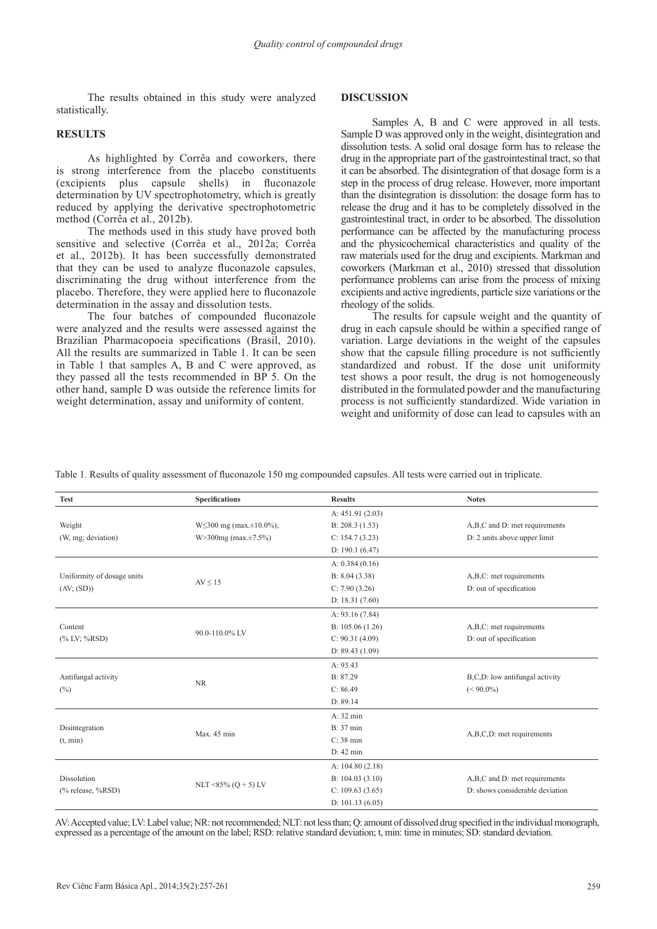The results obtained in this study were analyzed statistically.

## **RESULTS**

As highlighted by Corrêa and coworkers, there is strong interference from the placebo constituents (excipients plus capsule shells) in fluconazole determination by UV spectrophotometry, which is greatly reduced by applying the derivative spectrophotometric method (Corrêa et al., 2012b).

The methods used in this study have proved both sensitive and selective (Corrêa et al., 2012a; Corrêa et al., 2012b). It has been successfully demonstrated that they can be used to analyze fluconazole capsules, discriminating the drug without interference from the placebo. Therefore, they were applied here to fluconazole determination in the assay and dissolution tests.

The four batches of compounded fluconazole were analyzed and the results were assessed against the Brazilian Pharmacopoeia specifications (Brasil, 2010). All the results are summarized in Table 1. It can be seen in Table 1 that samples A, B and C were approved, as they passed all the tests recommended in BP 5. On the other hand, sample D was outside the reference limits for weight determination, assay and uniformity of content.

#### **DISCUSSION**

Samples A, B and C were approved in all tests. Sample D was approved only in the weight, disintegration and dissolution tests. A solid oral dosage form has to release the drug in the appropriate part of the gastrointestinal tract, so that it can be absorbed. The disintegration of that dosage form is a step in the process of drug release. However, more important than the disintegration is dissolution: the dosage form has to release the drug and it has to be completely dissolved in the gastrointestinal tract, in order to be absorbed. The dissolution performance can be affected by the manufacturing process and the physicochemical characteristics and quality of the raw materials used for the drug and excipients. Markman and coworkers (Markman et al., 2010) stressed that dissolution performance problems can arise from the process of mixing excipients and active ingredients, particle size variations or the rheology of the solids.

The results for capsule weight and the quantity of drug in each capsule should be within a specified range of variation. Large deviations in the weight of the capsules show that the capsule filling procedure is not sufficiently standardized and robust. If the dose unit uniformity test shows a poor result, the drug is not homogeneously distributed in the formulated powder and the manufacturing process is not sufficiently standardized. Wide variation in weight and uniformity of dose can lead to capsules with an

| Table 1. Results of quality assessment of fluconazole 150 mg compounded capsules. All tests were carried out in triplicate. |  |
|-----------------------------------------------------------------------------------------------------------------------------|--|
|                                                                                                                             |  |

| <b>Test</b>                              | <b>Specifications</b>                | <b>Results</b>    | <b>Notes</b>                    |
|------------------------------------------|--------------------------------------|-------------------|---------------------------------|
|                                          |                                      | A: 451.91 (2.03)  |                                 |
| Weight                                   | $W\leq 300$ mg (max. $\pm 10.0\%$ ); | B: 208.3(1.53)    | A,B,C and D: met requirements   |
| (W, mg; deviation)                       | $W > 300mg$ (max. $\pm 7.5\%$ )      | C: 154.7 (3.23)   | D: 2 units above upper limit    |
|                                          |                                      | D: $190.1(6.47)$  |                                 |
| Uniformity of dosage units<br>(AV; (SD)) |                                      | A: $0.384(0.16)$  |                                 |
|                                          | $AV \leq 15$                         | B: 8.04 (3.38)    | A,B,C: met requirements         |
|                                          |                                      | C: 7.90(3.26)     | D: out of specification         |
|                                          |                                      | D: $18.31(7.60)$  |                                 |
| Content<br>$(% ^{0}\times LV; %$ RSD)    | 90.0-110.0% LV                       | A: $93.16(7.84)$  |                                 |
|                                          |                                      | B: $105.06(1.26)$ | A,B,C: met requirements         |
|                                          |                                      | C: 90.31(4.09)    | D: out of specification         |
|                                          |                                      | D: $89.43(1.09)$  |                                 |
| Antifungal activity<br>(%)               |                                      | A: 93.43          |                                 |
|                                          | <b>NR</b>                            | B: 87.29          | B,C,D: low antifungal activity  |
|                                          |                                      | C: 86.49          | $(< 90.0\%)$                    |
|                                          |                                      | D: 89.14          |                                 |
| Disintegration<br>(t, min)               |                                      | A: 32 min         |                                 |
|                                          | Max. 45 min                          | <b>B</b> : 37 min |                                 |
|                                          |                                      | C: 38 min         | A,B,C,D: met requirements       |
|                                          |                                      | $D: 42$ min       |                                 |
| Dissolution                              | NLT <85% ( $Q + 5$ ) LV              | A: $104.80(2.18)$ |                                 |
|                                          |                                      | B: 104.03(3.10)   | A,B,C and D: met requirements   |
| $(\%$ release, $\%$ RSD)                 |                                      | C: 109.63(3.65)   | D: shows considerable deviation |
|                                          |                                      | D: $101.13(6.05)$ |                                 |

AV: Accepted value; LV: Label value; NR: not recommended; NLT: not less than; Q: amount of dissolved drug specified in the individual monograph, expressed as a percentage of the amount on the label; RSD: relative standard deviation; t, min: time in minutes; SD: standard deviation.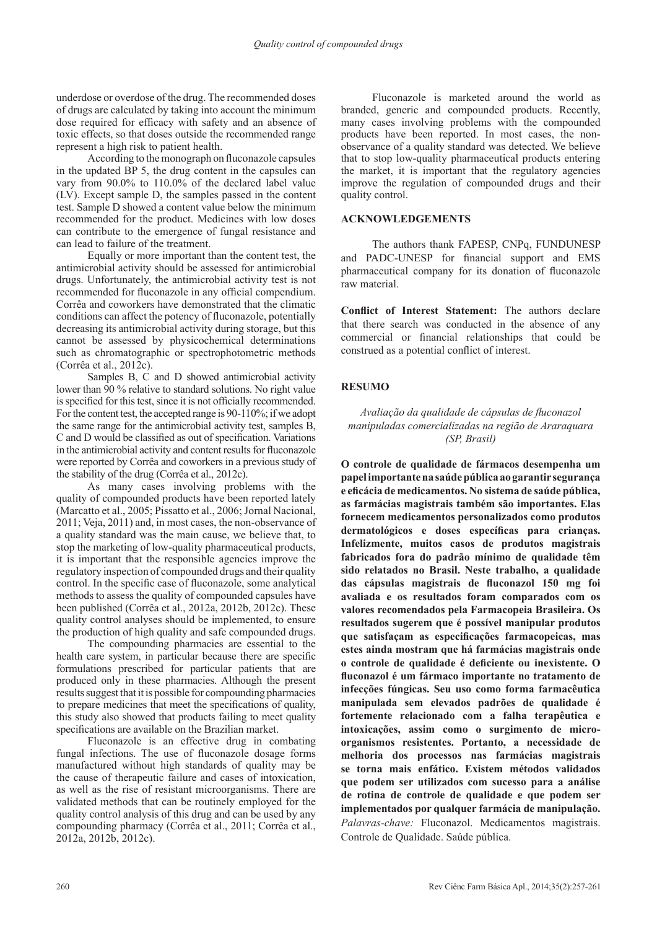underdose or overdose of the drug. The recommended doses of drugs are calculated by taking into account the minimum dose required for efficacy with safety and an absence of toxic effects, so that doses outside the recommended range represent a high risk to patient health.

According to the monograph on fluconazole capsules in the updated BP 5, the drug content in the capsules can vary from 90.0% to 110.0% of the declared label value (LV). Except sample D, the samples passed in the content test. Sample D showed a content value below the minimum recommended for the product. Medicines with low doses can contribute to the emergence of fungal resistance and can lead to failure of the treatment.

Equally or more important than the content test, the antimicrobial activity should be assessed for antimicrobial drugs. Unfortunately, the antimicrobial activity test is not recommended for fluconazole in any official compendium. Corrêa and coworkers have demonstrated that the climatic conditions can affect the potency of fluconazole, potentially decreasing its antimicrobial activity during storage, but this cannot be assessed by physicochemical determinations such as chromatographic or spectrophotometric methods (Corrêa et al., 2012c).

Samples B, C and D showed antimicrobial activity lower than 90 % relative to standard solutions. No right value is specified for this test, since it is not officially recommended. For the content test, the accepted range is 90-110%; if we adopt the same range for the antimicrobial activity test, samples B, C and D would be classified as out of specification. Variations in the antimicrobial activity and content results for fluconazole were reported by Corrêa and coworkers in a previous study of the stability of the drug (Corrêa et al., 2012c).

As many cases involving problems with the quality of compounded products have been reported lately (Marcatto et al., 2005; Pissatto et al., 2006; Jornal Nacional, 2011; Veja, 2011) and, in most cases, the non-observance of a quality standard was the main cause, we believe that, to stop the marketing of low-quality pharmaceutical products, it is important that the responsible agencies improve the regulatory inspection of compounded drugs and their quality control. In the specific case of fluconazole, some analytical methods to assess the quality of compounded capsules have been published (Corrêa et al., 2012a, 2012b, 2012c). These quality control analyses should be implemented, to ensure the production of high quality and safe compounded drugs.

The compounding pharmacies are essential to the health care system, in particular because there are specific formulations prescribed for particular patients that are produced only in these pharmacies. Although the present results suggest that it is possible for compounding pharmacies to prepare medicines that meet the specifications of quality, this study also showed that products failing to meet quality specifications are available on the Brazilian market.

Fluconazole is an effective drug in combating fungal infections. The use of fluconazole dosage forms manufactured without high standards of quality may be the cause of therapeutic failure and cases of intoxication, as well as the rise of resistant microorganisms. There are validated methods that can be routinely employed for the quality control analysis of this drug and can be used by any compounding pharmacy (Corrêa et al., 2011; Corrêa et al., 2012a, 2012b, 2012c).

Fluconazole is marketed around the world as branded, generic and compounded products. Recently, many cases involving problems with the compounded products have been reported. In most cases, the nonobservance of a quality standard was detected. We believe that to stop low-quality pharmaceutical products entering the market, it is important that the regulatory agencies improve the regulation of compounded drugs and their quality control.

## **ACKNOWLEDGEMENTS**

The authors thank FAPESP, CNPq, FUNDUNESP and PADC-UNESP for financial support and EMS pharmaceutical company for its donation of fluconazole raw material.

**Conflict of Interest Statement:** The authors declare that there search was conducted in the absence of any commercial or financial relationships that could be construed as a potential conflict of interest.

### **RESUMO**

# *Avaliação da qualidade de cápsulas de fluconazol manipuladas comercializadas na região de Araraquara (SP, Brasil)*

**O controle de qualidade de fármacos desempenha um papel importante na saúde pública ao garantir segurança e eficácia de medicamentos. No sistema de saúde pública, as farmácias magistrais também são importantes. Elas fornecem medicamentos personalizados como produtos dermatológicos e doses específicas para crianças. Infelizmente, muitos casos de produtos magistrais fabricados fora do padrão mínimo de qualidade têm sido relatados no Brasil. Neste trabalho, a qualidade das cápsulas magistrais de fluconazol 150 mg foi avaliada e os resultados foram comparados com os valores recomendados pela Farmacopeia Brasileira. Os resultados sugerem que é possível manipular produtos que satisfaçam as especificações farmacopeicas, mas estes ainda mostram que há farmácias magistrais onde o controle de qualidade é deficiente ou inexistente. O fluconazol é um fármaco importante no tratamento de infecções fúngicas. Seu uso como forma farmacêutica manipulada sem elevados padrões de qualidade é fortemente relacionado com a falha terapêutica e intoxicações, assim como o surgimento de microorganismos resistentes. Portanto, a necessidade de melhoria dos processos nas farmácias magistrais se torna mais enfático. Existem métodos validados que podem ser utilizados com sucesso para a análise de rotina de controle de qualidade e que podem ser implementados por qualquer farmácia de manipulação.** *Palavras-chave:* Fluconazol. Medicamentos magistrais. Controle de Qualidade. Saúde pública.